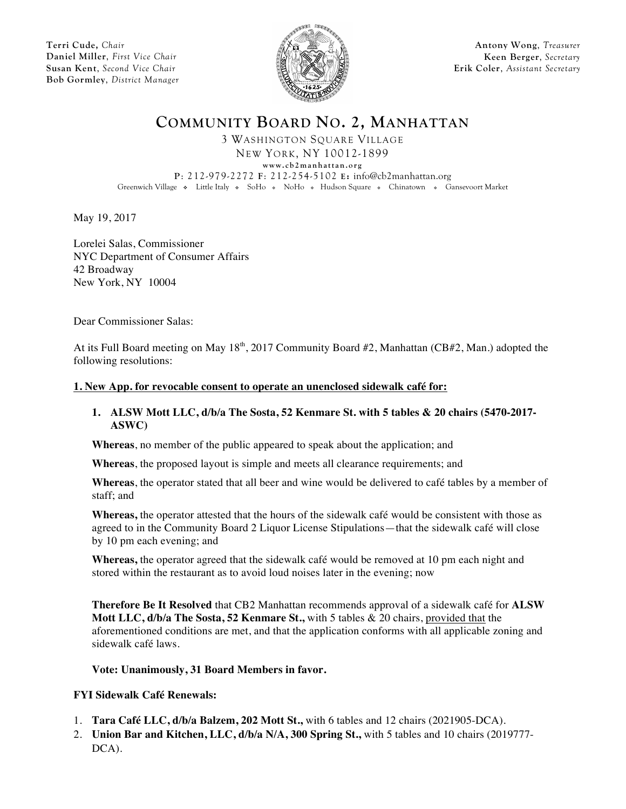**Terri Cude,** *Chair* **Daniel Miller**, *First Vice Chair* **Susan Kent**, *Second Vice Chair* **Bob Gormley**, *District Manager*



**Antony Wong**, *Treasurer* **Keen Berger**, *Secretary* **Erik Coler**, *Assistant Secretary*

**COMMUNITY BOARD NO. 2, MANHATTAN**

3 WASHINGTON SQUARE VILLAGE NEW YORK, NY 10012-1899

**www.cb2manhattan.org**

**P**: 212-979-2272 **F**: 212-254-5102 **E:** info@cb2manhattan.org

Greenwich Village • Little Italy • SoHo • NoHo • Hudson Square • Chinatown • Gansevoort Market

May 19, 2017

Lorelei Salas, Commissioner NYC Department of Consumer Affairs 42 Broadway New York, NY 10004

Dear Commissioner Salas:

At its Full Board meeting on May 18<sup>th</sup>, 2017 Community Board #2, Manhattan (CB#2, Man.) adopted the following resolutions:

## **1. New App. for revocable consent to operate an unenclosed sidewalk café for:**

## **1. ALSW Mott LLC, d/b/a The Sosta, 52 Kenmare St. with 5 tables & 20 chairs (5470-2017- ASWC)**

**Whereas**, no member of the public appeared to speak about the application; and

**Whereas**, the proposed layout is simple and meets all clearance requirements; and

**Whereas**, the operator stated that all beer and wine would be delivered to café tables by a member of staff; and

**Whereas,** the operator attested that the hours of the sidewalk café would be consistent with those as agreed to in the Community Board 2 Liquor License Stipulations—that the sidewalk café will close by 10 pm each evening; and

**Whereas,** the operator agreed that the sidewalk café would be removed at 10 pm each night and stored within the restaurant as to avoid loud noises later in the evening; now

**Therefore Be It Resolved** that CB2 Manhattan recommends approval of a sidewalk café for **ALSW Mott LLC, d/b/a The Sosta, 52 Kenmare St.,** with 5 tables & 20 chairs, provided that the aforementioned conditions are met, and that the application conforms with all applicable zoning and sidewalk café laws.

**Vote: Unanimously, 31 Board Members in favor.**

## **FYI Sidewalk Café Renewals:**

- 1. **Tara Café LLC, d/b/a Balzem, 202 Mott St.,** with 6 tables and 12 chairs (2021905-DCA).
- 2. **Union Bar and Kitchen, LLC, d/b/a N/A, 300 Spring St.,** with 5 tables and 10 chairs (2019777- DCA).